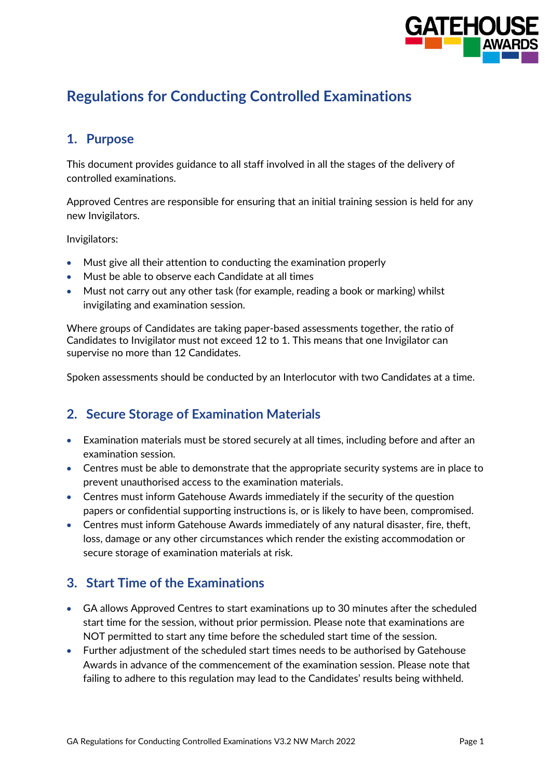

# **Regulations for Conducting Controlled Examinations**

### **1. Purpose**

This document provides guidance to all staff involved in all the stages of the delivery of controlled examinations.

Approved Centres are responsible for ensuring that an initial training session is held for any new Invigilators.

Invigilators:

- Must give all their attention to conducting the examination properly
- Must be able to observe each Candidate at all times
- Must not carry out any other task (for example, reading a book or marking) whilst invigilating and examination session.

Where groups of Candidates are taking paper-based assessments together, the ratio of Candidates to Invigilator must not exceed 12 to 1. This means that one Invigilator can supervise no more than 12 Candidates.

Spoken assessments should be conducted by an Interlocutor with two Candidates at a time.

#### **2. Secure Storage of Examination Materials**

- Examination materials must be stored securely at all times, including before and after an examination session.
- Centres must be able to demonstrate that the appropriate security systems are in place to prevent unauthorised access to the examination materials.
- Centres must inform Gatehouse Awards immediately if the security of the question papers or confidential supporting instructions is, or is likely to have been, compromised.
- Centres must inform Gatehouse Awards immediately of any natural disaster, fire, theft, loss, damage or any other circumstances which render the existing accommodation or secure storage of examination materials at risk.

#### **3. Start Time of the Examinations**

- GA allows Approved Centres to start examinations up to 30 minutes after the scheduled start time for the session, without prior permission. Please note that examinations are NOT permitted to start any time before the scheduled start time of the session.
- Further adjustment of the scheduled start times needs to be authorised by Gatehouse Awards in advance of the commencement of the examination session. Please note that failing to adhere to this regulation may lead to the Candidates' results being withheld.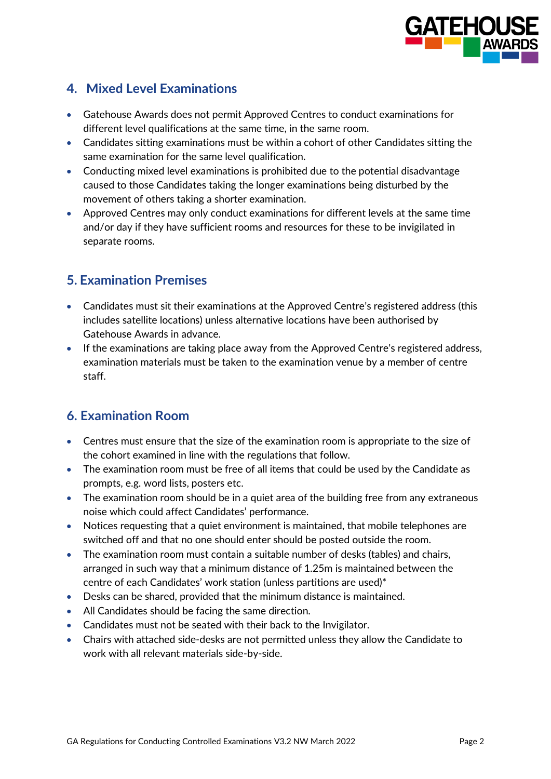

# **4. Mixed Level Examinations**

- Gatehouse Awards does not permit Approved Centres to conduct examinations for different level qualifications at the same time, in the same room.
- Candidates sitting examinations must be within a cohort of other Candidates sitting the same examination for the same level qualification.
- Conducting mixed level examinations is prohibited due to the potential disadvantage caused to those Candidates taking the longer examinations being disturbed by the movement of others taking a shorter examination.
- Approved Centres may only conduct examinations for different levels at the same time and/or day if they have sufficient rooms and resources for these to be invigilated in separate rooms.

## **5. Examination Premises**

- Candidates must sit their examinations at the Approved Centre's registered address (this includes satellite locations) unless alternative locations have been authorised by Gatehouse Awards in advance.
- If the examinations are taking place away from the Approved Centre's registered address, examination materials must be taken to the examination venue by a member of centre staff.

# **6. Examination Room**

- Centres must ensure that the size of the examination room is appropriate to the size of the cohort examined in line with the regulations that follow.
- The examination room must be free of all items that could be used by the Candidate as prompts, e.g. word lists, posters etc.
- The examination room should be in a quiet area of the building free from any extraneous noise which could affect Candidates' performance.
- Notices requesting that a quiet environment is maintained, that mobile telephones are switched off and that no one should enter should be posted outside the room.
- The examination room must contain a suitable number of desks (tables) and chairs, arranged in such way that a minimum distance of 1.25m is maintained between the centre of each Candidates' work station (unless partitions are used)\*
- Desks can be shared, provided that the minimum distance is maintained.
- All Candidates should be facing the same direction.
- Candidates must not be seated with their back to the Invigilator.
- Chairs with attached side-desks are not permitted unless they allow the Candidate to work with all relevant materials side-by-side.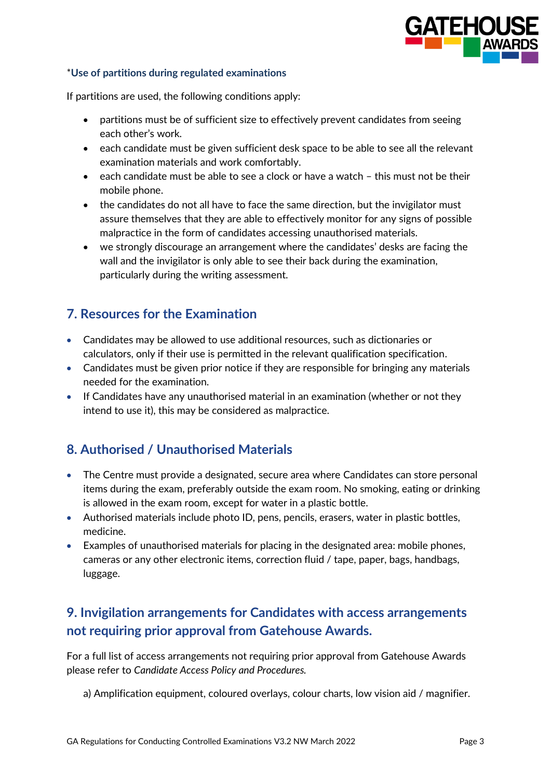

#### \***Use of partitions during regulated examinations**

If partitions are used, the following conditions apply:

- partitions must be of sufficient size to effectively prevent candidates from seeing each other's work.
- each candidate must be given sufficient desk space to be able to see all the relevant examination materials and work comfortably.
- each candidate must be able to see a clock or have a watch this must not be their mobile phone.
- the candidates do not all have to face the same direction, but the invigilator must assure themselves that they are able to effectively monitor for any signs of possible malpractice in the form of candidates accessing unauthorised materials.
- we strongly discourage an arrangement where the candidates' desks are facing the wall and the invigilator is only able to see their back during the examination, particularly during the writing assessment.

### **7. Resources for the Examination**

- Candidates may be allowed to use additional resources, such as dictionaries or calculators, only if their use is permitted in the relevant qualification specification.
- Candidates must be given prior notice if they are responsible for bringing any materials needed for the examination.
- If Candidates have any unauthorised material in an examination (whether or not they intend to use it), this may be considered as malpractice.

### **8. Authorised / Unauthorised Materials**

- The Centre must provide a designated, secure area where Candidates can store personal items during the exam, preferably outside the exam room. No smoking, eating or drinking is allowed in the exam room, except for water in a plastic bottle.
- Authorised materials include photo ID, pens, pencils, erasers, water in plastic bottles, medicine.
- Examples of unauthorised materials for placing in the designated area: mobile phones, cameras or any other electronic items, correction fluid / tape, paper, bags, handbags, luggage.

# **9. Invigilation arrangements for Candidates with access arrangements not requiring prior approval from Gatehouse Awards.**

For a full list of access arrangements not requiring prior approval from Gatehouse Awards please refer to *Candidate Access Policy and Procedures.*

a) Amplification equipment, coloured overlays, colour charts, low vision aid / magnifier.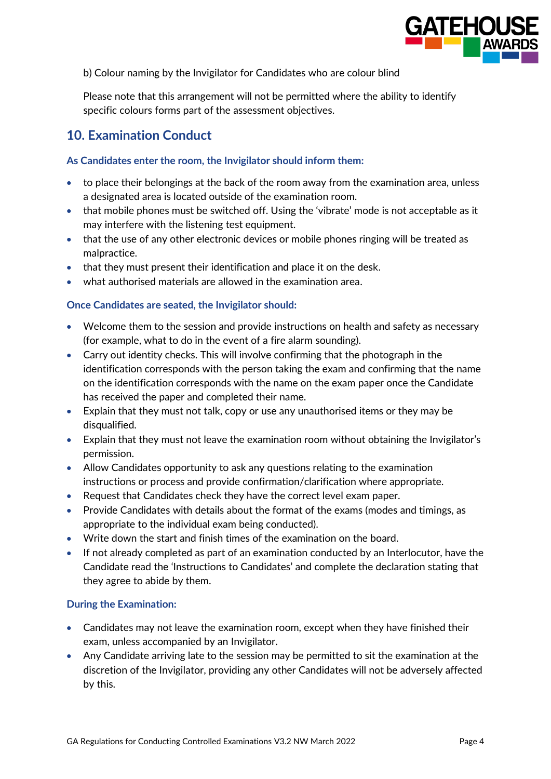

b) Colour naming by the Invigilator for Candidates who are colour blind

Please note that this arrangement will not be permitted where the ability to identify specific colours forms part of the assessment objectives.

### **10. Examination Conduct**

#### **As Candidates enter the room, the Invigilator should inform them:**

- to place their belongings at the back of the room away from the examination area, unless a designated area is located outside of the examination room.
- that mobile phones must be switched off. Using the 'vibrate' mode is not acceptable as it may interfere with the listening test equipment.
- that the use of any other electronic devices or mobile phones ringing will be treated as malpractice.
- that they must present their identification and place it on the desk.
- what authorised materials are allowed in the examination area.

#### **Once Candidates are seated, the Invigilator should:**

- Welcome them to the session and provide instructions on health and safety as necessary (for example, what to do in the event of a fire alarm sounding).
- Carry out identity checks. This will involve confirming that the photograph in the identification corresponds with the person taking the exam and confirming that the name on the identification corresponds with the name on the exam paper once the Candidate has received the paper and completed their name.
- Explain that they must not talk, copy or use any unauthorised items or they may be disqualified.
- Explain that they must not leave the examination room without obtaining the Invigilator's permission.
- Allow Candidates opportunity to ask any questions relating to the examination instructions or process and provide confirmation/clarification where appropriate.
- Request that Candidates check they have the correct level exam paper.
- Provide Candidates with details about the format of the exams (modes and timings, as appropriate to the individual exam being conducted).
- Write down the start and finish times of the examination on the board.
- If not already completed as part of an examination conducted by an Interlocutor, have the Candidate read the 'Instructions to Candidates' and complete the declaration stating that they agree to abide by them.

#### **During the Examination:**

- Candidates may not leave the examination room, except when they have finished their exam, unless accompanied by an Invigilator.
- Any Candidate arriving late to the session may be permitted to sit the examination at the discretion of the Invigilator, providing any other Candidates will not be adversely affected by this.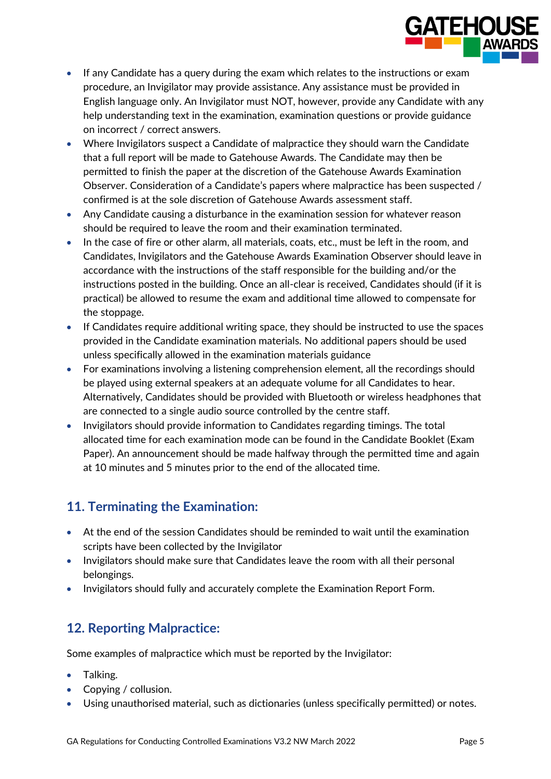

- If any Candidate has a query during the exam which relates to the instructions or exam procedure, an Invigilator may provide assistance. Any assistance must be provided in English language only. An Invigilator must NOT, however, provide any Candidate with any help understanding text in the examination, examination questions or provide guidance on incorrect / correct answers.
- Where Invigilators suspect a Candidate of malpractice they should warn the Candidate that a full report will be made to Gatehouse Awards. The Candidate may then be permitted to finish the paper at the discretion of the Gatehouse Awards Examination Observer. Consideration of a Candidate's papers where malpractice has been suspected / confirmed is at the sole discretion of Gatehouse Awards assessment staff.
- Any Candidate causing a disturbance in the examination session for whatever reason should be required to leave the room and their examination terminated.
- In the case of fire or other alarm, all materials, coats, etc., must be left in the room, and Candidates, Invigilators and the Gatehouse Awards Examination Observer should leave in accordance with the instructions of the staff responsible for the building and/or the instructions posted in the building. Once an all-clear is received, Candidates should (if it is practical) be allowed to resume the exam and additional time allowed to compensate for the stoppage.
- If Candidates require additional writing space, they should be instructed to use the spaces provided in the Candidate examination materials. No additional papers should be used unless specifically allowed in the examination materials guidance
- For examinations involving a listening comprehension element, all the recordings should be played using external speakers at an adequate volume for all Candidates to hear. Alternatively, Candidates should be provided with Bluetooth or wireless headphones that are connected to a single audio source controlled by the centre staff.
- Invigilators should provide information to Candidates regarding timings. The total allocated time for each examination mode can be found in the Candidate Booklet (Exam Paper). An announcement should be made halfway through the permitted time and again at 10 minutes and 5 minutes prior to the end of the allocated time.

# **11. Terminating the Examination:**

- At the end of the session Candidates should be reminded to wait until the examination scripts have been collected by the Invigilator
- Invigilators should make sure that Candidates leave the room with all their personal belongings.
- Invigilators should fully and accurately complete the Examination Report Form.

# **12. Reporting Malpractice:**

Some examples of malpractice which must be reported by the Invigilator:

- Talking.
- Copying / collusion.
- Using unauthorised material, such as dictionaries (unless specifically permitted) or notes.